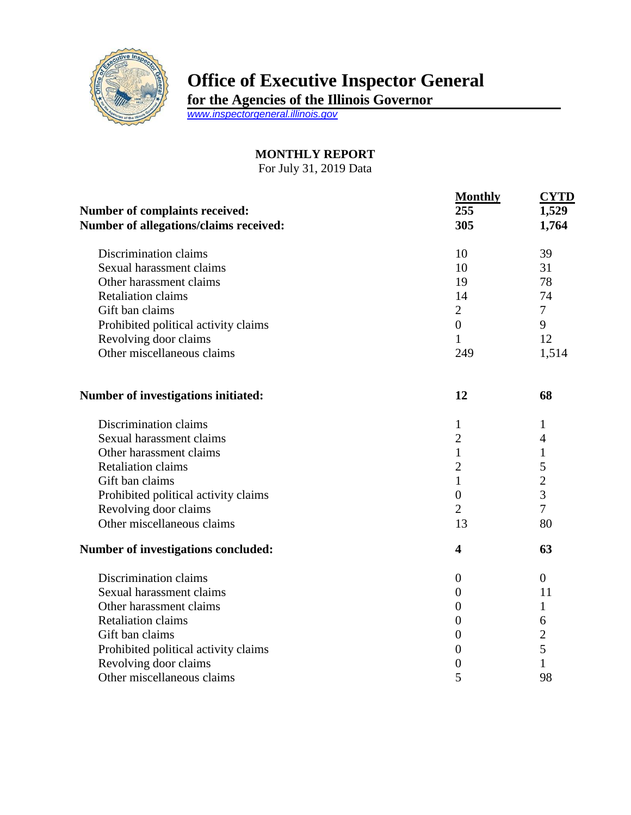

## **Office of Executive Inspector General**

**for the Agencies of the Illinois Governor**

*[www.inspectorgeneral.illinois.gov](http://www.inspectorgeneral.illinois.gov/)*

## **MONTHLY REPORT**

For July 31, 2019 Data

| <b>Number of complaints received:</b><br>Number of allegations/claims received: | <b>Monthly</b><br>255<br>305 | <b>CYTD</b><br>1,529<br>1,764 |
|---------------------------------------------------------------------------------|------------------------------|-------------------------------|
| Discrimination claims                                                           | 10                           | 39                            |
| Sexual harassment claims                                                        | 10                           | 31                            |
| Other harassment claims                                                         | 19                           | 78                            |
| <b>Retaliation claims</b>                                                       | 14                           | 74                            |
| Gift ban claims                                                                 | $\overline{2}$               | $\overline{7}$                |
| Prohibited political activity claims                                            | $\boldsymbol{0}$             | 9                             |
| Revolving door claims                                                           | $\mathbf{1}$                 | 12                            |
| Other miscellaneous claims                                                      | 249                          | 1,514                         |
| Number of investigations initiated:                                             | 12                           | 68                            |
| Discrimination claims                                                           | 1                            | 1                             |
| Sexual harassment claims                                                        | $\overline{c}$               | $\overline{4}$                |
| Other harassment claims                                                         | $\mathbf{1}$                 | 1                             |
| <b>Retaliation claims</b>                                                       | $\overline{c}$               | 5                             |
| Gift ban claims                                                                 | $\mathbf{1}$                 | $\overline{c}$                |
| Prohibited political activity claims                                            | $\overline{0}$               | $\overline{3}$                |
| Revolving door claims                                                           | $\overline{2}$               | 7                             |
| Other miscellaneous claims                                                      | 13                           | 80                            |
| Number of investigations concluded:                                             | $\overline{\mathbf{4}}$      | 63                            |
| Discrimination claims                                                           | $\boldsymbol{0}$             | $\theta$                      |
| Sexual harassment claims                                                        | $\boldsymbol{0}$             | 11                            |
| Other harassment claims                                                         | $\overline{0}$               | 1                             |
| <b>Retaliation claims</b>                                                       | $\overline{0}$               | 6                             |
| Gift ban claims                                                                 | $\overline{0}$               | $rac{2}{5}$                   |
| Prohibited political activity claims                                            | $\overline{0}$               |                               |
| Revolving door claims                                                           | $\boldsymbol{0}$             | $\mathbf 1$                   |
| Other miscellaneous claims                                                      | 5                            | 98                            |